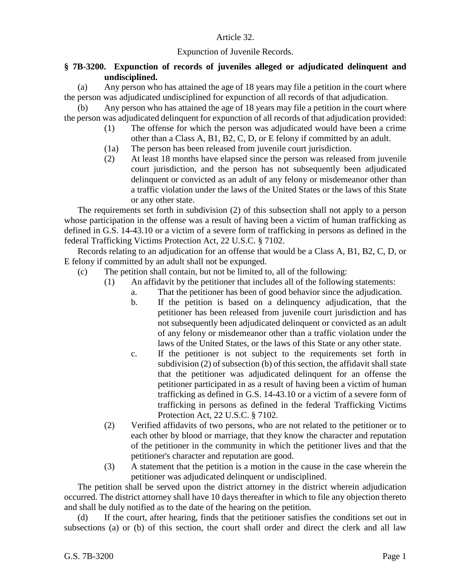## Article 32.

## Expunction of Juvenile Records.

## **§ 7B-3200. Expunction of records of juveniles alleged or adjudicated delinquent and undisciplined.**

(a) Any person who has attained the age of 18 years may file a petition in the court where the person was adjudicated undisciplined for expunction of all records of that adjudication.

(b) Any person who has attained the age of 18 years may file a petition in the court where the person was adjudicated delinquent for expunction of all records of that adjudication provided:

- (1) The offense for which the person was adjudicated would have been a crime other than a Class A, B1, B2, C, D, or E felony if committed by an adult.
- (1a) The person has been released from juvenile court jurisdiction.
- (2) At least 18 months have elapsed since the person was released from juvenile court jurisdiction, and the person has not subsequently been adjudicated delinquent or convicted as an adult of any felony or misdemeanor other than a traffic violation under the laws of the United States or the laws of this State or any other state.

The requirements set forth in subdivision (2) of this subsection shall not apply to a person whose participation in the offense was a result of having been a victim of human trafficking as defined in G.S. 14-43.10 or a victim of a severe form of trafficking in persons as defined in the federal Trafficking Victims Protection Act, 22 U.S.C. § 7102.

Records relating to an adjudication for an offense that would be a Class A, B1, B2, C, D, or E felony if committed by an adult shall not be expunged.

- (c) The petition shall contain, but not be limited to, all of the following:
	- (1) An affidavit by the petitioner that includes all of the following statements:
		- a. That the petitioner has been of good behavior since the adjudication.
		- b. If the petition is based on a delinquency adjudication, that the petitioner has been released from juvenile court jurisdiction and has not subsequently been adjudicated delinquent or convicted as an adult of any felony or misdemeanor other than a traffic violation under the laws of the United States, or the laws of this State or any other state.
		- c. If the petitioner is not subject to the requirements set forth in subdivision (2) of subsection (b) of this section, the affidavit shall state that the petitioner was adjudicated delinquent for an offense the petitioner participated in as a result of having been a victim of human trafficking as defined in G.S. 14-43.10 or a victim of a severe form of trafficking in persons as defined in the federal Trafficking Victims Protection Act, 22 U.S.C. § 7102.
	- (2) Verified affidavits of two persons, who are not related to the petitioner or to each other by blood or marriage, that they know the character and reputation of the petitioner in the community in which the petitioner lives and that the petitioner's character and reputation are good.
	- (3) A statement that the petition is a motion in the cause in the case wherein the petitioner was adjudicated delinquent or undisciplined.

The petition shall be served upon the district attorney in the district wherein adjudication occurred. The district attorney shall have 10 days thereafter in which to file any objection thereto and shall be duly notified as to the date of the hearing on the petition.

(d) If the court, after hearing, finds that the petitioner satisfies the conditions set out in subsections (a) or (b) of this section, the court shall order and direct the clerk and all law